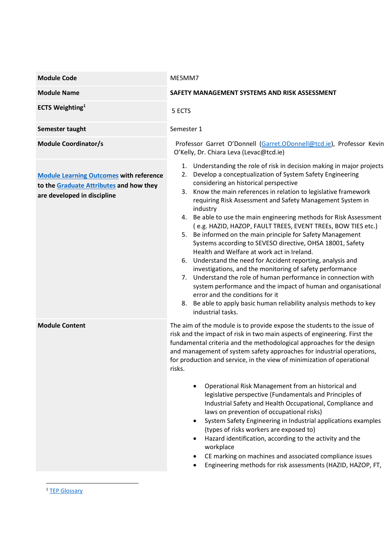| <b>Module Code</b>                                                                                                       | ME5MM7                                                                                                                                                                                                                                                                                                                                                                                                                                                                                                                                                                                                                                                                                                                                                                                                                                                                                                                                                                                                                                              |  |  |
|--------------------------------------------------------------------------------------------------------------------------|-----------------------------------------------------------------------------------------------------------------------------------------------------------------------------------------------------------------------------------------------------------------------------------------------------------------------------------------------------------------------------------------------------------------------------------------------------------------------------------------------------------------------------------------------------------------------------------------------------------------------------------------------------------------------------------------------------------------------------------------------------------------------------------------------------------------------------------------------------------------------------------------------------------------------------------------------------------------------------------------------------------------------------------------------------|--|--|
| <b>Module Name</b>                                                                                                       | SAFETY MANAGEMENT SYSTEMS AND RISK ASSESSMENT                                                                                                                                                                                                                                                                                                                                                                                                                                                                                                                                                                                                                                                                                                                                                                                                                                                                                                                                                                                                       |  |  |
| <b>ECTS Weighting</b> <sup>1</sup>                                                                                       | 5 ECTS                                                                                                                                                                                                                                                                                                                                                                                                                                                                                                                                                                                                                                                                                                                                                                                                                                                                                                                                                                                                                                              |  |  |
| Semester taught                                                                                                          | Semester 1                                                                                                                                                                                                                                                                                                                                                                                                                                                                                                                                                                                                                                                                                                                                                                                                                                                                                                                                                                                                                                          |  |  |
| <b>Module Coordinator/s</b>                                                                                              | Professor Garret O'Donnell (Garret.ODonnell@tcd.ie), Professor Kevin<br>O'Kelly, Dr. Chiara Leva (Levac@tcd.ie)                                                                                                                                                                                                                                                                                                                                                                                                                                                                                                                                                                                                                                                                                                                                                                                                                                                                                                                                     |  |  |
| <b>Module Learning Outcomes with reference</b><br>to the Graduate Attributes and how they<br>are developed in discipline | 1. Understanding the role of risk in decision making in major projects<br>Develop a conceptualization of System Safety Engineering<br>2.<br>considering an historical perspective<br>Know the main references in relation to legislative framework<br>3.<br>requiring Risk Assessment and Safety Management System in<br>industry<br>4. Be able to use the main engineering methods for Risk Assessment<br>(e.g. HAZID, HAZOP, FAULT TREES, EVENT TREEs, BOW TIES etc.)<br>5. Be informed on the main principle for Safety Management<br>Systems according to SEVESO directive, OHSA 18001, Safety<br>Health and Welfare at work act in Ireland.<br>6. Understand the need for Accident reporting, analysis and<br>investigations, and the monitoring of safety performance<br>Understand the role of human performance in connection with<br>7.<br>system performance and the impact of human and organisational<br>error and the conditions for it<br>Be able to apply basic human reliability analysis methods to key<br>8.<br>industrial tasks. |  |  |
| <b>Module Content</b>                                                                                                    | The aim of the module is to provide expose the students to the issue of<br>risk and the impact of risk in two main aspects of engineering. First the<br>fundamental criteria and the methodological approaches for the design<br>and management of system safety approaches for industrial operations,<br>for production and service, in the view of minimization of operational<br>risks.<br>Operational Risk Management from an historical and<br>legislative perspective (Fundamentals and Principles of<br>Industrial Safety and Health Occupational, Compliance and<br>laws on prevention of occupational risks)<br>System Safety Engineering in Industrial applications examples<br>(types of risks workers are exposed to)<br>Hazard identification, according to the activity and the<br>workplace<br>CE marking on machines and associated compliance issues<br>Engineering methods for risk assessments (HAZID, HAZOP, FT,                                                                                                                |  |  |

<sup>1</sup> TEP Glossary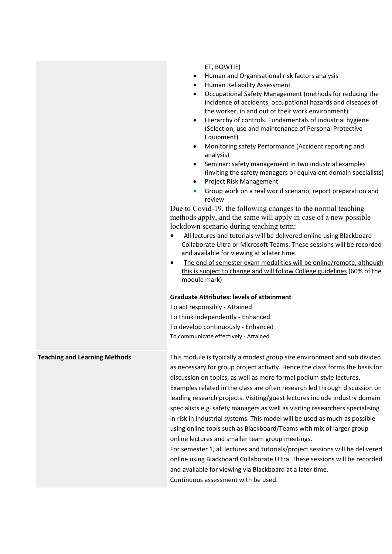|                                      | ET, BOWTIE)<br>Human and Organisational risk factors analysis<br>$\bullet$<br>• Human Reliability Assessment<br>Occupational Safety Management (methods for reducing the<br>$\bullet$<br>incidence of accidents, occupational hazards and diseases of<br>the worker, in and out of their work environment)<br>Hierarchy of controls. Fundamentals of industrial hygiene<br>$\bullet$<br>(Selection, use and maintenance of Personal Protective<br>Equipment)<br>Monitoring safety Performance (Accident reporting and<br>analysis)<br>Seminar: safety management in two industrial examples<br>(inviting the safety managers or equivalent domain specialists)<br>Project Risk Management<br>$\bullet$<br>Group work on a real world scenario, report preparation and<br>$\bullet$<br>review<br>Due to Covid-19, the following changes to the normal teaching<br>methods apply, and the same will apply in case of a new possible<br>lockdown scenario during teaching term:<br>All lectures and tutorials will be delivered online using Blackboard<br>$\bullet$<br>Collaborate Ultra or Microsoft Teams. These sessions will be recorded<br>and available for viewing at a later time.<br>The end of semester exam modalities will be online/remote, although<br>$\bullet$<br>this is subject to change and will follow College guidelines (60% of the<br>module mark)<br><b>Graduate Attributes: levels of attainment</b><br>To act responsibly - Attained<br>To think independently - Enhanced<br>To develop continuously - Enhanced<br>To communicate effectively - Attained |
|--------------------------------------|-----------------------------------------------------------------------------------------------------------------------------------------------------------------------------------------------------------------------------------------------------------------------------------------------------------------------------------------------------------------------------------------------------------------------------------------------------------------------------------------------------------------------------------------------------------------------------------------------------------------------------------------------------------------------------------------------------------------------------------------------------------------------------------------------------------------------------------------------------------------------------------------------------------------------------------------------------------------------------------------------------------------------------------------------------------------------------------------------------------------------------------------------------------------------------------------------------------------------------------------------------------------------------------------------------------------------------------------------------------------------------------------------------------------------------------------------------------------------------------------------------------------------------------------------------------------------------------|
| <b>Teaching and Learning Methods</b> | This module is typically a modest group size environment and sub divided<br>as necessary for group project activity. Hence the class forms the basis for<br>discussion on topics, as well as more formal podium style lectures.<br>Examples related in the class are often research led through discussion on<br>leading research projects. Visiting/guest lectures include industry domain<br>specialists e.g safety managers as well as visiting researchers specialising<br>in risk in industrial systems. This model will be used as much as possible<br>using online tools such as Blackboard/Teams with mix of larger group<br>online lectures and smaller team group meetings.<br>For semester 1, all lectures and tutorials/project sessions will be delivered<br>online using Blackboard Collaborate Ultra. These sessions will be recorded<br>and available for viewing via Blackboard at a later time.<br>Continuous assessment with be used.                                                                                                                                                                                                                                                                                                                                                                                                                                                                                                                                                                                                                          |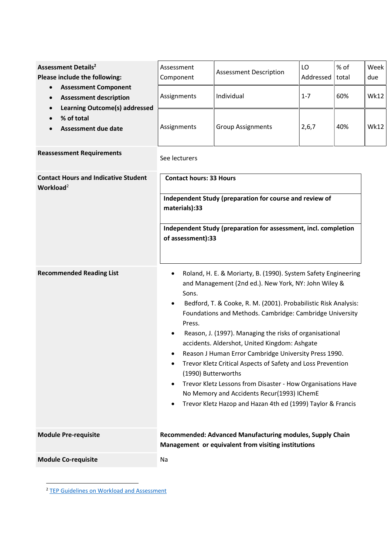| <b>Assessment Details<sup>2</sup></b><br>Please include the following:<br><b>Assessment Component</b><br>$\bullet$<br><b>Assessment description</b><br>$\bullet$<br><b>Learning Outcome(s) addressed</b><br>$\bullet$<br>% of total<br><b>Assessment due date</b> | Assessment<br>Component                                                                                                                                                                                                                                                                                                                                                                                                                                                                                                                                                                                                                                                                                                                                          | <b>Assessment Description</b> | LO<br>Addressed | % of<br>total | Week<br>due |  |
|-------------------------------------------------------------------------------------------------------------------------------------------------------------------------------------------------------------------------------------------------------------------|------------------------------------------------------------------------------------------------------------------------------------------------------------------------------------------------------------------------------------------------------------------------------------------------------------------------------------------------------------------------------------------------------------------------------------------------------------------------------------------------------------------------------------------------------------------------------------------------------------------------------------------------------------------------------------------------------------------------------------------------------------------|-------------------------------|-----------------|---------------|-------------|--|
|                                                                                                                                                                                                                                                                   | Assignments                                                                                                                                                                                                                                                                                                                                                                                                                                                                                                                                                                                                                                                                                                                                                      | Individual                    | $1 - 7$         | 60%           | <b>Wk12</b> |  |
|                                                                                                                                                                                                                                                                   | Assignments                                                                                                                                                                                                                                                                                                                                                                                                                                                                                                                                                                                                                                                                                                                                                      | <b>Group Assignments</b>      | 2,6,7           | 40%           | <b>Wk12</b> |  |
| <b>Reassessment Requirements</b>                                                                                                                                                                                                                                  | See lecturers                                                                                                                                                                                                                                                                                                                                                                                                                                                                                                                                                                                                                                                                                                                                                    |                               |                 |               |             |  |
| <b>Contact Hours and Indicative Student</b><br>Workload <sup>2</sup>                                                                                                                                                                                              | <b>Contact hours: 33 Hours</b><br>Independent Study (preparation for course and review of<br>materials):33                                                                                                                                                                                                                                                                                                                                                                                                                                                                                                                                                                                                                                                       |                               |                 |               |             |  |
|                                                                                                                                                                                                                                                                   | Independent Study (preparation for assessment, incl. completion<br>of assessment):33                                                                                                                                                                                                                                                                                                                                                                                                                                                                                                                                                                                                                                                                             |                               |                 |               |             |  |
| <b>Recommended Reading List</b>                                                                                                                                                                                                                                   | Roland, H. E. & Moriarty, B. (1990). System Safety Engineering<br>$\bullet$<br>and Management (2nd ed.). New York, NY: John Wiley &<br>Sons.<br>Bedford, T. & Cooke, R. M. (2001). Probabilistic Risk Analysis:<br>Foundations and Methods. Cambridge: Cambridge University<br>Press.<br>Reason, J. (1997). Managing the risks of organisational<br>$\bullet$<br>accidents. Aldershot, United Kingdom: Ashgate<br>Reason J Human Error Cambridge University Press 1990.<br>Trevor Kletz Critical Aspects of Safety and Loss Prevention<br>٠<br>(1990) Butterworths<br>Trevor Kletz Lessons from Disaster - How Organisations Have<br>$\bullet$<br>No Memory and Accidents Recur(1993) IChemE<br>Trevor Kletz Hazop and Hazan 4th ed (1999) Taylor & Francis<br>٠ |                               |                 |               |             |  |
| <b>Module Pre-requisite</b>                                                                                                                                                                                                                                       | Recommended: Advanced Manufacturing modules, Supply Chain<br>Management or equivalent from visiting institutions                                                                                                                                                                                                                                                                                                                                                                                                                                                                                                                                                                                                                                                 |                               |                 |               |             |  |
| <b>Module Co-requisite</b>                                                                                                                                                                                                                                        | Na                                                                                                                                                                                                                                                                                                                                                                                                                                                                                                                                                                                                                                                                                                                                                               |                               |                 |               |             |  |

<sup>&</sup>lt;sup>2</sup> TEP Guidelines on Workload and Assessment